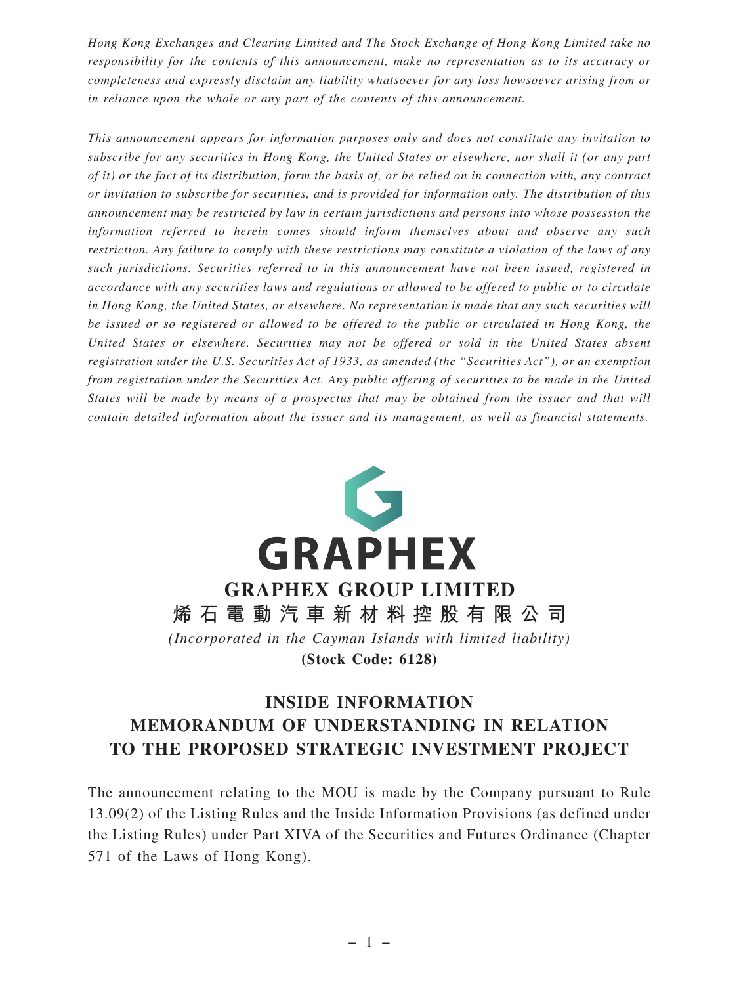*Hong Kong Exchanges and Clearing Limited and The Stock Exchange of Hong Kong Limited take no responsibility for the contents of this announcement, make no representation as to its accuracy or completeness and expressly disclaim any liability whatsoever for any loss howsoever arising from or in reliance upon the whole or any part of the contents of this announcement.*

*This announcement appears for information purposes only and does not constitute any invitation to subscribe for any securities in Hong Kong, the United States or elsewhere, nor shall it (or any part of it) or the fact of its distribution, form the basis of, or be relied on in connection with, any contract or invitation to subscribe for securities, and is provided for information only. The distribution of this announcement may be restricted by law in certain jurisdictions and persons into whose possession the information referred to herein comes should inform themselves about and observe any such restriction. Any failure to comply with these restrictions may constitute a violation of the laws of any such jurisdictions. Securities referred to in this announcement have not been issued, registered in accordance with any securities laws and regulations or allowed to be offered to public or to circulate in Hong Kong, the United States, or elsewhere. No representation is made that any such securities will be issued or so registered or allowed to be offered to the public or circulated in Hong Kong, the United States or elsewhere. Securities may not be offered or sold in the United States absent registration under the U.S. Securities Act of 1933, as amended (the "Securities Act"), or an exemption from registration under the Securities Act. Any public offering of securities to be made in the United States will be made by means of a prospectus that may be obtained from the issuer and that will contain detailed information about the issuer and its management, as well as financial statements.*



# **INSIDE INFORMATION MEMORANDUM OF UNDERSTANDING IN RELATION TO THE PROPOSED STRATEGIC INVESTMENT PROJECT**

The announcement relating to the MOU is made by the Company pursuant to Rule 13.09(2) of the Listing Rules and the Inside Information Provisions (as defined under the Listing Rules) under Part XIVA of the Securities and Futures Ordinance (Chapter 571 of the Laws of Hong Kong).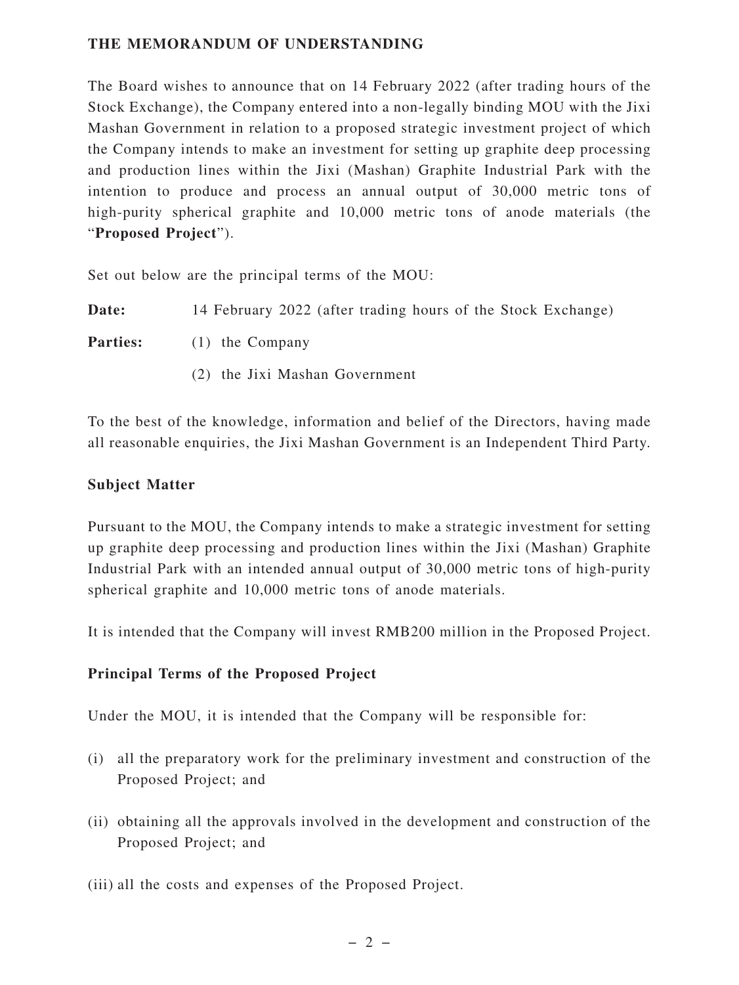## **THE MEMORANDUM OF UNDERSTANDING**

The Board wishes to announce that on 14 February 2022 (after trading hours of the Stock Exchange), the Company entered into a non-legally binding MOU with the Jixi Mashan Government in relation to a proposed strategic investment project of which the Company intends to make an investment for setting up graphite deep processing and production lines within the Jixi (Mashan) Graphite Industrial Park with the intention to produce and process an annual output of 30,000 metric tons of high-purity spherical graphite and 10,000 metric tons of anode materials (the "**Proposed Project**").

Set out below are the principal terms of the MOU:

**Date:** 14 February 2022 (after trading hours of the Stock Exchange)

**Parties:** (1) the Company

(2) the Jixi Mashan Government

To the best of the knowledge, information and belief of the Directors, having made all reasonable enquiries, the Jixi Mashan Government is an Independent Third Party.

#### **Subject Matter**

Pursuant to the MOU, the Company intends to make a strategic investment for setting up graphite deep processing and production lines within the Jixi (Mashan) Graphite Industrial Park with an intended annual output of 30,000 metric tons of high-purity spherical graphite and 10,000 metric tons of anode materials.

It is intended that the Company will invest RMB200 million in the Proposed Project.

## **Principal Terms of the Proposed Project**

Under the MOU, it is intended that the Company will be responsible for:

- (i) all the preparatory work for the preliminary investment and construction of the Proposed Project; and
- (ii) obtaining all the approvals involved in the development and construction of the Proposed Project; and
- (iii) all the costs and expenses of the Proposed Project.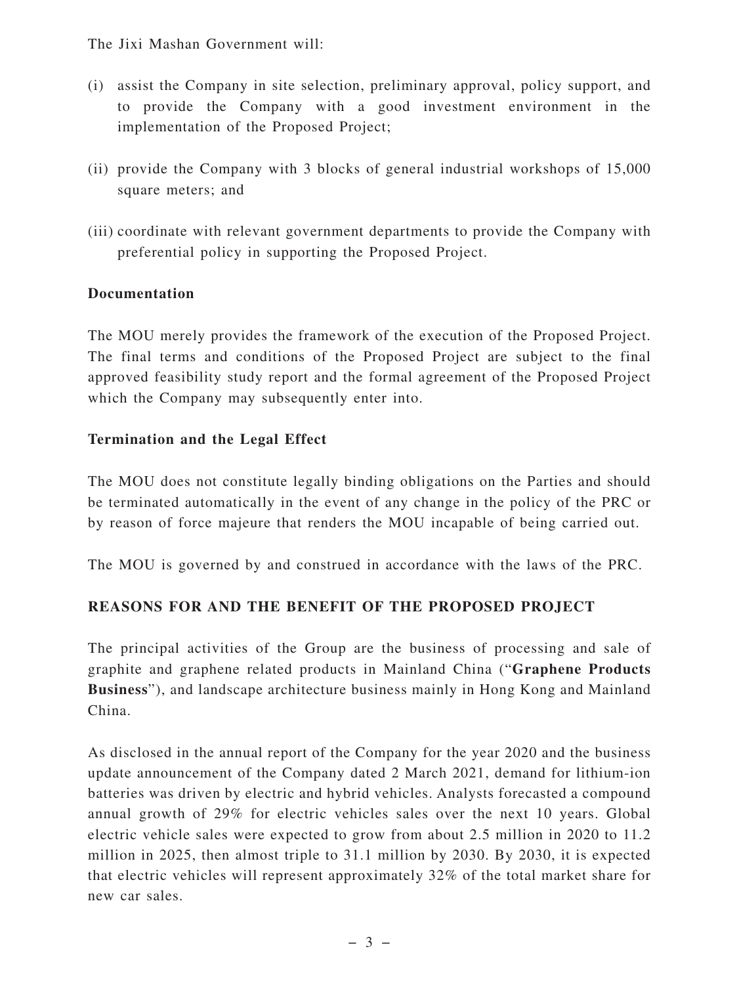The Jixi Mashan Government will:

- (i) assist the Company in site selection, preliminary approval, policy support, and to provide the Company with a good investment environment in the implementation of the Proposed Project;
- (ii) provide the Company with 3 blocks of general industrial workshops of 15,000 square meters; and
- (iii) coordinate with relevant government departments to provide the Company with preferential policy in supporting the Proposed Project.

## **Documentation**

The MOU merely provides the framework of the execution of the Proposed Project. The final terms and conditions of the Proposed Project are subject to the final approved feasibility study report and the formal agreement of the Proposed Project which the Company may subsequently enter into.

#### **Termination and the Legal Effect**

The MOU does not constitute legally binding obligations on the Parties and should be terminated automatically in the event of any change in the policy of the PRC or by reason of force majeure that renders the MOU incapable of being carried out.

The MOU is governed by and construed in accordance with the laws of the PRC.

## **REASONS FOR AND THE BENEFIT OF THE PROPOSED PROJECT**

The principal activities of the Group are the business of processing and sale of graphite and graphene related products in Mainland China ("**Graphene Products Business**"), and landscape architecture business mainly in Hong Kong and Mainland China.

As disclosed in the annual report of the Company for the year 2020 and the business update announcement of the Company dated 2 March 2021, demand for lithium-ion batteries was driven by electric and hybrid vehicles. Analysts forecasted a compound annual growth of 29% for electric vehicles sales over the next 10 years. Global electric vehicle sales were expected to grow from about 2.5 million in 2020 to 11.2 million in 2025, then almost triple to 31.1 million by 2030. By 2030, it is expected that electric vehicles will represent approximately 32% of the total market share for new car sales.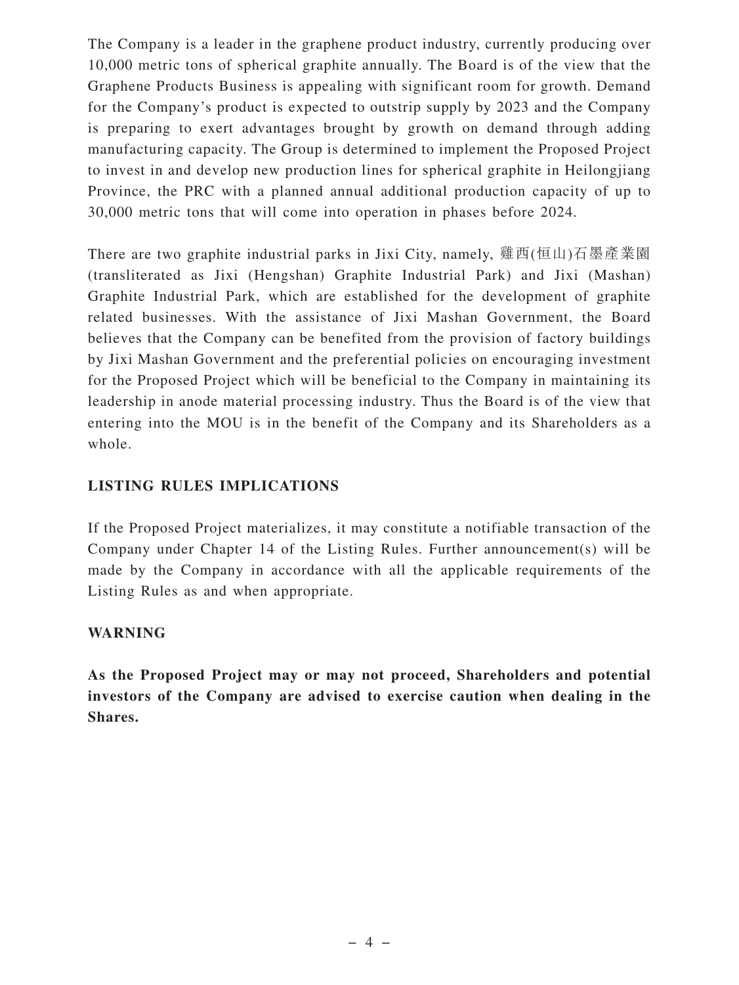The Company is a leader in the graphene product industry, currently producing over 10,000 metric tons of spherical graphite annually. The Board is of the view that the Graphene Products Business is appealing with significant room for growth. Demand for the Company's product is expected to outstrip supply by 2023 and the Company is preparing to exert advantages brought by growth on demand through adding manufacturing capacity. The Group is determined to implement the Proposed Project to invest in and develop new production lines for spherical graphite in Heilongjiang Province, the PRC with a planned annual additional production capacity of up to 30,000 metric tons that will come into operation in phases before 2024.

There are two graphite industrial parks in Jixi City, namely, 雞西(恒山)石墨產業園 (transliterated as Jixi (Hengshan) Graphite Industrial Park) and Jixi (Mashan) Graphite Industrial Park, which are established for the development of graphite related businesses. With the assistance of Jixi Mashan Government, the Board believes that the Company can be benefited from the provision of factory buildings by Jixi Mashan Government and the preferential policies on encouraging investment for the Proposed Project which will be beneficial to the Company in maintaining its leadership in anode material processing industry. Thus the Board is of the view that entering into the MOU is in the benefit of the Company and its Shareholders as a whole.

# **LISTING RULES IMPLICATIONS**

If the Proposed Project materializes, it may constitute a notifiable transaction of the Company under Chapter 14 of the Listing Rules. Further announcement(s) will be made by the Company in accordance with all the applicable requirements of the Listing Rules as and when appropriate.

## **WARNING**

**As the Proposed Project may or may not proceed, Shareholders and potential investors of the Company are advised to exercise caution when dealing in the Shares.**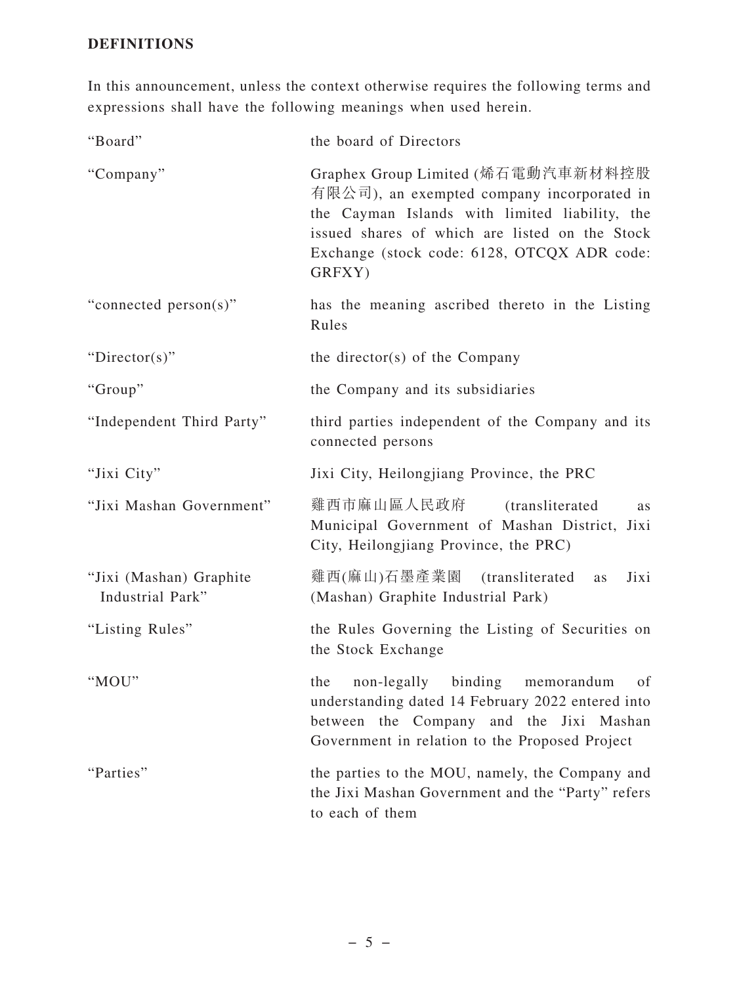# **DEFINITIONS**

In this announcement, unless the context otherwise requires the following terms and expressions shall have the following meanings when used herein.

| "Board"                                     | the board of Directors                                                                                                                                                                                                                        |
|---------------------------------------------|-----------------------------------------------------------------------------------------------------------------------------------------------------------------------------------------------------------------------------------------------|
| "Company"                                   | Graphex Group Limited (烯石電動汽車新材料控股<br>有限公司), an exempted company incorporated in<br>the Cayman Islands with limited liability, the<br>issued shares of which are listed on the Stock<br>Exchange (stock code: 6128, OTCQX ADR code:<br>GRFXY) |
| "connected person(s)"                       | has the meaning ascribed thereto in the Listing<br>Rules                                                                                                                                                                                      |
| "Director(s)"                               | the director(s) of the Company                                                                                                                                                                                                                |
| "Group"                                     | the Company and its subsidiaries                                                                                                                                                                                                              |
| "Independent Third Party"                   | third parties independent of the Company and its<br>connected persons                                                                                                                                                                         |
| "Jixi City"                                 | Jixi City, Heilongjiang Province, the PRC                                                                                                                                                                                                     |
| "Jixi Mashan Government"                    | 雞西市麻山區人民政府<br><i>(transliterated)</i><br><b>as</b><br>Municipal Government of Mashan District, Jixi<br>City, Heilongjiang Province, the PRC)                                                                                                  |
| "Jixi (Mashan) Graphite<br>Industrial Park" | 雞西(麻山)石墨產業園<br>(transliterated)<br>Jixi<br>as<br>(Mashan) Graphite Industrial Park)                                                                                                                                                           |
| "Listing Rules"                             | the Rules Governing the Listing of Securities on<br>the Stock Exchange                                                                                                                                                                        |
| "MOU"                                       | of<br>the<br>non-legally<br>binding<br>memorandum<br>understanding dated 14 February 2022 entered into<br>between the Company and the Jixi Mashan<br>Government in relation to the Proposed Project                                           |
| "Parties"                                   | the parties to the MOU, namely, the Company and<br>the Jixi Mashan Government and the "Party" refers<br>to each of them                                                                                                                       |